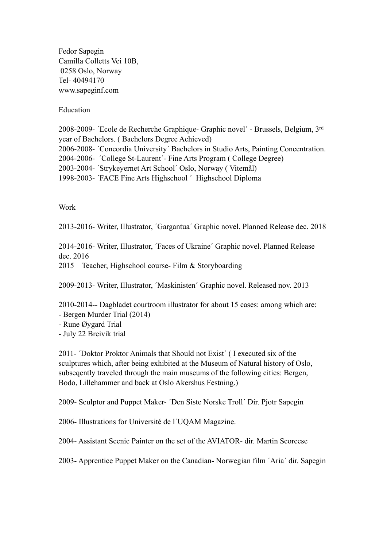Fedor Sapegin Camilla Colletts Vei 10B, 0258 Oslo, Norway Tel- 40494170 www.sapeginf.com

Education

2008-2009- ´Ecole de Recherche Graphique- Graphic novel´ - Brussels, Belgium, 3rd year of Bachelors. ( Bachelors Degree Achieved) 2006-2008- ´Concordia University´ Bachelors in Studio Arts, Painting Concentration. 2004-2006- ´College St-Laurent´- Fine Arts Program ( College Degree) 2003-2004- ´Strykeyernet Art School´ Oslo, Norway ( Vitemål) 1998-2003- ´FACE Fine Arts Highschool ´ Highschool Diploma

Work

2013-2016- Writer, Illustrator, ´Gargantua´ Graphic novel. Planned Release dec. 2018

2014-2016- Writer, Illustrator, ´Faces of Ukraine´ Graphic novel. Planned Release dec. 2016

2015 Teacher, Highschool course- Film & Storyboarding

2009-2013- Writer, Illustrator, ´Maskinisten´ Graphic novel. Released nov. 2013

2010-2014-- Dagbladet courtroom illustrator for about 15 cases: among which are:

- Bergen Murder Trial (2014)
- Rune Øygard Trial
- July 22 Breivik trial

2011- ´Doktor Proktor Animals that Should not Exist´ ( I executed six of the sculptures which, after being exhibited at the Museum of Natural history of Oslo, subseqently traveled through the main museums of the following cities: Bergen, Bodo, Lillehammer and back at Oslo Akershus Festning.)

2009- Sculptor and Puppet Maker- ´Den Siste Norske Troll´ Dir. Pjotr Sapegin

2006- Illustrations for Université de l´UQAM Magazine.

2004- Assistant Scenic Painter on the set of the AVIATOR- dir. Martin Scorcese

2003- Apprentice Puppet Maker on the Canadian- Norwegian film ´Aria´ dir. Sapegin